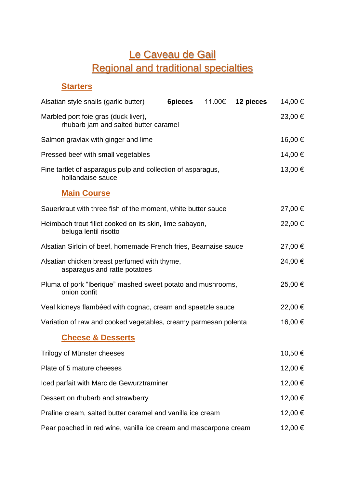# Le Caveau de Gail Regional and traditional specialties

## **Starters**

| Alsatian style snails (garlic butter)                                            | <b>6pieces</b> |  | 11.00€ <b>12 pieces</b> | 14,00 € |
|----------------------------------------------------------------------------------|----------------|--|-------------------------|---------|
| Marbled port foie gras (duck liver),<br>rhubarb jam and salted butter caramel    |                |  |                         | 23,00 € |
| Salmon gravlax with ginger and lime                                              |                |  |                         | 16,00 € |
| Pressed beef with small vegetables                                               |                |  |                         | 14,00 € |
| Fine tartlet of asparagus pulp and collection of asparagus,<br>hollandaise sauce |                |  |                         | 13,00 € |
| <b>Main Course</b>                                                               |                |  |                         |         |
| Sauerkraut with three fish of the moment, white butter sauce                     |                |  |                         | 27,00 € |
| Heimbach trout fillet cooked on its skin, lime sabayon,<br>beluga lentil risotto |                |  |                         | 22,00 € |
| Alsatian Sirloin of beef, homemade French fries, Bearnaise sauce                 |                |  |                         | 27,00 € |
| Alsatian chicken breast perfumed with thyme,<br>asparagus and ratte potatoes     |                |  |                         | 24,00 € |
| Pluma of pork "Iberique" mashed sweet potato and mushrooms,<br>onion confit      |                |  |                         | 25,00 € |
| Veal kidneys flambéed with cognac, cream and spaetzle sauce                      |                |  |                         | 22,00 € |
| Variation of raw and cooked vegetables, creamy parmesan polenta                  |                |  |                         | 16,00 € |
| <b>Cheese &amp; Desserts</b>                                                     |                |  |                         |         |
| Trilogy of Münster cheeses                                                       |                |  |                         | 10,50 € |
| Plate of 5 mature cheeses                                                        |                |  |                         | 12,00 € |
| Iced parfait with Marc de Gewurztraminer                                         |                |  |                         | 12,00 € |
| Dessert on rhubarb and strawberry                                                |                |  |                         | 12,00 € |
| Praline cream, salted butter caramel and vanilla ice cream                       |                |  |                         | 12,00 € |
| Pear poached in red wine, vanilla ice cream and mascarpone cream                 |                |  |                         | 12,00 € |